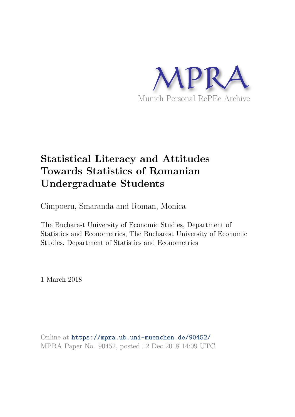

# **Statistical Literacy and Attitudes Towards Statistics of Romanian Undergraduate Students**

Cimpoeru, Smaranda and Roman, Monica

The Bucharest University of Economic Studies, Department of Statistics and Econometrics, The Bucharest University of Economic Studies, Department of Statistics and Econometrics

1 March 2018

Online at https://mpra.ub.uni-muenchen.de/90452/ MPRA Paper No. 90452, posted 12 Dec 2018 14:09 UTC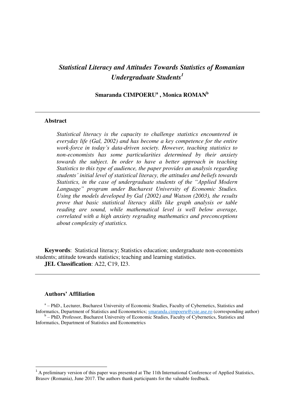## *Statistical Literacy and Attitudes Towards Statistics of Romanian Undergraduate Students<sup>1</sup>*

**Smaranda CIMPOERU<sup>a</sup> , Monica ROMAN<sup>b</sup>** 

#### **Abstract**

*Statistical literacy is the capacity to challenge statistics encountered in everyday life (Gal, 2002) and has become a key competence for the entire work-force in today's data-driven society. However, teaching statistics to non-economists has some particularities determined by their anxiety towards the subject. In order to have a better approach in teaching Statistics to this type of audience, the paper provides an analysis regarding students' initial level of statistical literacy, the attitudes and beliefs towards Statistics, in the case of undergraduate students of the "Applied Modern Language" program under Bucharest University of Economic Studies. Using the models developed by Gal (2002) and Watson (2003), the results prove that basic statistical literacy skills like graph analysis or table reading are sound, while mathematical level is well below average, correlated with a high anxiety regrading mathematics and preconceptions about complexity of statistics.* 

**Keywords**: Statistical literacy; Statistics education; undergraduate non-economists students; attitude towards statistics; teaching and learning statistics. **JEL Classification**: A22, C19, I23.

#### **Authors' Affiliation**

<u>.</u>

<sup>a</sup> - PhD., Lecturer, Bucharest University of Economic Studies, Faculty of Cybernetics, Statistics and Informatics, Department of Statistics and Econometrics; [smaranda.cimpoeru@csie.ase.ro](mailto:smaranda.cimpoeru@csie.ase.ro) (corresponding author)

<sup>b</sup> - PhD, Professor, Bucharest University of Economic Studies, Faculty of Cybernetics, Statistics and Informatics, Department of Statistics and Econometrics

<sup>&</sup>lt;sup>1</sup> A preliminary version of this paper was presented at The 11th International Conference of Applied Statistics, Brasov (Romania), June 2017. The authors thank participants for the valuable feedback.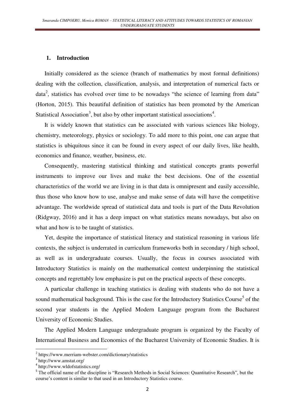#### **1. Introduction**

Initially considered as the science (branch of mathematics by most formal definitions) dealing with the collection, classification, analysis, and interpretation of numerical facts or data<sup>2</sup>, statistics has evolved over time to be nowadays "the science of learning from data" (Horton, 2015). This beautiful definition of statistics has been promoted by the American Statistical Association<sup>3</sup>, but also by other important statistical associations<sup>4</sup>.

It is widely known that statistics can be associated with various sciences like biology, chemistry, meteorology, physics or sociology. To add more to this point, one can argue that statistics is ubiquitous since it can be found in every aspect of our daily lives, like health, economics and finance, weather, business, etc.

Consequently, mastering statistical thinking and statistical concepts grants powerful instruments to improve our lives and make the best decisions. One of the essential characteristics of the world we are living in is that data is omnipresent and easily accessible, thus those who know how to use, analyse and make sense of data will have the competitive advantage. The worldwide spread of statistical data and tools is part of the Data Revolution (Ridgway, 2016) and it has a deep impact on what statistics means nowadays, but also on what and how is to be taught of statistics.

Yet, despite the importance of statistical literacy and statistical reasoning in various life contexts, the subject is underrated in curriculum frameworks both in secondary / high school, as well as in undergraduate courses. Usually, the focus in courses associated with Introductory Statistics is mainly on the mathematical context underpinning the statistical concepts and regrettably low emphasize is put on the practical aspects of these concepts.

A particular challenge in teaching statistics is dealing with students who do not have a sound mathematical background. This is the case for the Introductory Statistics Course<sup>5</sup> of the second year students in the Applied Modern Language program from the Bucharest University of Economic Studies.

The Applied Modern Language undergraduate program is organized by the Faculty of International Business and Economics of the Bucharest University of Economic Studies. It is

 $\overline{\phantom{a}}$ 

<sup>2</sup> https://www.merriam-webster.com/dictionary/statistics

<sup>3</sup> <http://www.amstat.org/>

<sup>4</sup> http://www.wldofstatistics.org/

<sup>&</sup>lt;sup>5</sup> The official name of the discipline is "Research Methods in Social Sciences: Quantitative Research", but the course's content is similar to that used in an Introductory Statistics course.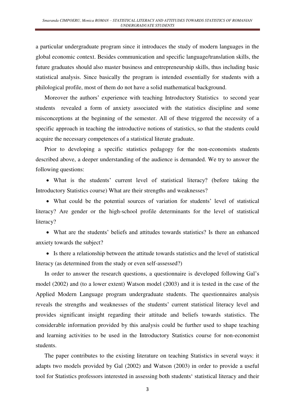a particular undergraduate program since it introduces the study of modern languages in the global economic context. Besides communication and specific language/translation skills, the future graduates should also master business and entrepreneurship skills, thus including basic statistical analysis. Since basically the program is intended essentially for students with a philological profile, most of them do not have a solid mathematical background.

Moreover the authors' experience with teaching Introductory Statistics to second year students revealed a form of anxiety associated with the statistics discipline and some misconceptions at the beginning of the semester. All of these triggered the necessity of a specific approach in teaching the introductive notions of statistics, so that the students could acquire the necessary competences of a statistical literate graduate.

Prior to developing a specific statistics pedagogy for the non-economists students described above, a deeper understanding of the audience is demanded. We try to answer the following questions:

 What is the students' current level of statistical literacy? (before taking the Introductory Statistics course) What are their strengths and weaknesses?

 What could be the potential sources of variation for students' level of statistical literacy? Are gender or the high-school profile determinants for the level of statistical literacy?

 What are the students' beliefs and attitudes towards statistics? Is there an enhanced anxiety towards the subject?

 Is there a relationship between the attitude towards statistics and the level of statistical literacy (as determined from the study or even self-assessed?)

In order to answer the research questions, a questionnaire is developed following Gal's model (2002) and (to a lower extent) Watson model (2003) and it is tested in the case of the Applied Modern Language program undergraduate students. The questionnaires analysis reveals the strengths and weaknesses of the students' current statistical literacy level and provides significant insight regarding their attitude and beliefs towards statistics. The considerable information provided by this analysis could be further used to shape teaching and learning activities to be used in the Introductory Statistics course for non-economist students.

The paper contributes to the existing literature on teaching Statistics in several ways: it adapts two models provided by Gal (2002) and Watson (2003) in order to provide a useful tool for Statistics professors interested in assessing both students' statistical literacy and their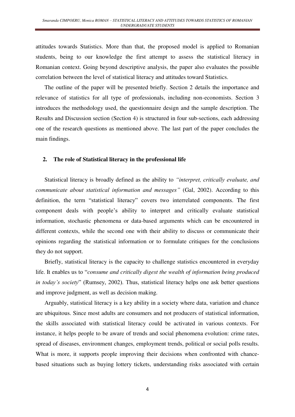attitudes towards Statistics. More than that, the proposed model is applied to Romanian students, being to our knowledge the first attempt to assess the statistical literacy in Romanian context. Going beyond descriptive analysis, the paper also evaluates the possible correlation between the level of statistical literacy and attitudes toward Statistics.

The outline of the paper will be presented briefly. Section 2 details the importance and relevance of statistics for all type of professionals, including non-economists. Section 3 introduces the methodology used, the questionnaire design and the sample description. The Results and Discussion section (Section 4) is structured in four sub-sections, each addressing one of the research questions as mentioned above. The last part of the paper concludes the main findings.

#### **2. The role of Statistical literacy in the professional life**

Statistical literacy is broadly defined as the ability to *"interpret, critically evaluate, and communicate about statistical information and messages"* (Gal, 2002). According to this definition, the term "statistical literacy" covers two interrelated components. The first component deals with people's ability to interpret and critically evaluate statistical information, stochastic phenomena or data-based arguments which can be encountered in different contexts, while the second one with their ability to discuss or communicate their opinions regarding the statistical information or to formulate critiques for the conclusions they do not support.

Briefly, statistical literacy is the capacity to challenge statistics encountered in everyday life. It enables us to "*consume and critically digest the wealth of information being produced in today's society*" (Rumsey, 2002). Thus, statistical literacy helps one ask better questions and improve judgment, as well as decision making.

Arguably, statistical literacy is a key ability in a society where data, variation and chance are ubiquitous. Since most adults are consumers and not producers of statistical information, the skills associated with statistical literacy could be activated in various contexts. For instance, it helps people to be aware of trends and social phenomena evolution: crime rates, spread of diseases, environment changes, employment trends, political or social polls results. What is more, it supports people improving their decisions when confronted with chancebased situations such as buying lottery tickets, understanding risks associated with certain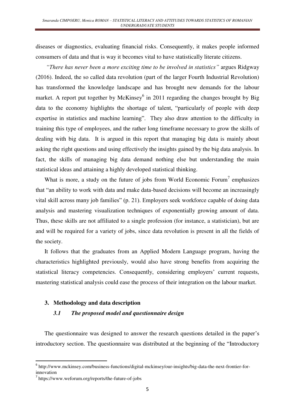diseases or diagnostics, evaluating financial risks. Consequently, it makes people informed consumers of data and that is way it becomes vital to have statistically literate citizens.

*"There has never been a more exciting time to be involved in statistics"* argues Ridgway (2016). Indeed, the so called data revolution (part of the larger Fourth Industrial Revolution) has transformed the knowledge landscape and has brought new demands for the labour market. A report put together by McKinsey $<sup>6</sup>$  in 2011 regarding the changes brought by Big</sup> data to the economy highlights the shortage of talent, "particularly of people with deep expertise in statistics and machine learning". They also draw attention to the difficulty in training this type of employees, and the rather long timeframe necessary to grow the skills of dealing with big data. It is argued in this report that managing big data is mainly about asking the right questions and using effectively the insights gained by the big data analysis. In fact, the skills of managing big data demand nothing else but understanding the main statistical ideas and attaining a highly developed statistical thinking.

What is more, a study on the future of jobs from World Economic Forum<sup>7</sup> emphasizes that "an ability to work with data and make data-based decisions will become an increasingly vital skill across many job families" (p. 21). Employers seek workforce capable of doing data analysis and mastering visualization techniques of exponentially growing amount of data. Thus, these skills are not affiliated to a single profession (for instance, a statistician), but are and will be required for a variety of jobs, since data revolution is present in all the fields of the society.

It follows that the graduates from an Applied Modern Language program, having the characteristics highlighted previously, would also have strong benefits from acquiring the statistical literacy competencies. Consequently, considering employers' current requests, mastering statistical analysis could ease the process of their integration on the labour market.

#### **3. Methodology and data description**

#### *3.1 The proposed model and questionnaire design*

The questionnaire was designed to answer the research questions detailed in the paper's introductory section. The questionnaire was distributed at the beginning of the "Introductory

innovation

 $\overline{\phantom{a}}$ 

<sup>6</sup> http://www.mckinsey.com/business-functions/digital-mckinsey/our-insights/big-data-the-next-frontier-for-

<sup>7</sup> https://www.weforum.org/reports/the-future-of-jobs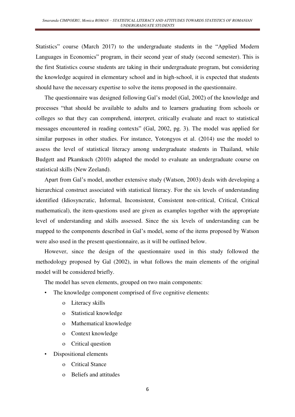Statistics" course (March 2017) to the undergraduate students in the "Applied Modern Languages in Economics" program, in their second year of study (second semester). This is the first Statistics course students are taking in their undergraduate program, but considering the knowledge acquired in elementary school and in high-school, it is expected that students should have the necessary expertise to solve the items proposed in the questionnaire.

The questionnaire was designed following Gal's model (Gal, 2002) of the knowledge and processes "that should be available to adults and to learners graduating from schools or colleges so that they can comprehend, interpret, critically evaluate and react to statistical messages encountered in reading contexts" (Gal, 2002, pg. 3). The model was applied for similar purposes in other studies. For instance, Yotongyos et al. (2014) use the model to assess the level of statistical literacy among undergraduate students in Thailand, while Budgett and Pkamkuch (2010) adapted the model to evaluate an undergraduate course on statistical skills (New Zeeland).

Apart from Gal's model, another extensive study (Watson, 2003) deals with developing a hierarchical construct associated with statistical literacy. For the six levels of understanding identified (Idiosyncratic, Informal, Inconsistent, Consistent non-critical, Critical, Critical mathematical), the item-questions used are given as examples together with the appropriate level of understanding and skills assessed. Since the six levels of understanding can be mapped to the components described in Gal's model, some of the items proposed by Watson were also used in the present questionnaire, as it will be outlined below.

However, since the design of the questionnaire used in this study followed the methodology proposed by Gal (2002), in what follows the main elements of the original model will be considered briefly.

The model has seven elements, grouped on two main components:

- The knowledge component comprised of five cognitive elements:
	- o Literacy skills
	- o Statistical knowledge
	- o Mathematical knowledge
	- o Context knowledge
	- o Critical question
- Dispositional elements
	- o Critical Stance
	- o Beliefs and attitudes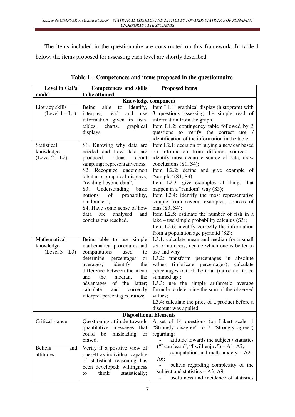The items included in the questionnaire are constructed on this framework. In table 1 below, the items proposed for assessing each level are shortly described.

| Level in Gal's        | <b>Competences and skills</b>                               | <b>Proposed items</b>                                          |  |  |  |
|-----------------------|-------------------------------------------------------------|----------------------------------------------------------------|--|--|--|
| model                 | to be attained                                              |                                                                |  |  |  |
| Knowledge component   |                                                             |                                                                |  |  |  |
| Literacy skills       | Being<br>able<br>identify,<br>to                            | Item L1.1: graphical display (histogram) with                  |  |  |  |
| $(Level 1 - L1)$      | interpret,<br>read<br>and<br>use                            | 3 questions assessing the simple read of                       |  |  |  |
|                       | information given in lists,                                 | information from the graph                                     |  |  |  |
|                       | charts,<br>graphical<br>tables,                             | Item L1.2: contingency table followed by 3                     |  |  |  |
|                       | displays                                                    | questions to verify the correct use /                          |  |  |  |
|                       |                                                             | identification of the information in the table                 |  |  |  |
| Statistical           | S1. Knowing why data are                                    | Item L2.1: decision of buying a new car based                  |  |  |  |
| knowledge             | needed and how data are                                     | on information from different sources -                        |  |  |  |
| $(Level 2 - L2)$      | produced;<br>ideas<br>about                                 | identify most accurate source of data, draw                    |  |  |  |
|                       | sampling; representativeness                                | conclusions (S1, S4);                                          |  |  |  |
|                       | S2. Recognize uncommon<br>tabular or graphical displays,    | Item L2.2: define and give example of<br>"sample" $(S1, S3)$ ; |  |  |  |
|                       | "reading beyond data";                                      | Item L2.3: give examples of things that                        |  |  |  |
|                       | S3. Understanding<br>basic                                  | happen in a "random" way (S3);                                 |  |  |  |
|                       | of<br>probability,<br>notions                               | Item L2.4: identify the most representative                    |  |  |  |
|                       | randomness;                                                 | sample from several examples; sources of                       |  |  |  |
|                       | S4. Have some sense of how                                  | bias $(S3, S4)$ ;                                              |  |  |  |
|                       | analysed<br>data<br>are<br>and                              | Item L <sub>2.5</sub> : estimate the number of fish in a       |  |  |  |
|                       | conclusions reached.                                        | lake – use simple probability calculus $(S3)$ ;                |  |  |  |
|                       |                                                             | Item L2.6: identify correctly the information                  |  |  |  |
|                       |                                                             | from a population age pyramid (S2);                            |  |  |  |
| Mathematical          | Being able to use simple                                    | L3.1: calculate mean and median for a small                    |  |  |  |
| knowledge             | mathematical procedures and                                 | set of numbers; decide which one is better to                  |  |  |  |
| $(Level 3 - L3)$      | computations<br>used<br>to                                  | use and why                                                    |  |  |  |
|                       | determine<br>percentages<br>or                              | L3.2: transform percentages in absolute                        |  |  |  |
|                       | identify<br>averages;<br>the                                | values (imbricate percentages);<br>calculate                   |  |  |  |
|                       | difference between the mean<br>the<br>and<br>median,<br>the | percentages out of the total (ratios not to be                 |  |  |  |
|                       | of the latter;<br>advantages                                | summed up);<br>L3.3: use the simple arithmetic average         |  |  |  |
|                       | calculate<br>and<br>correctly                               | formula to determine the sum of the observed                   |  |  |  |
|                       | interpret percentages, ratios;                              | values;                                                        |  |  |  |
|                       |                                                             | L3.4: calculate the price of a product before a                |  |  |  |
|                       |                                                             | discount was applied.                                          |  |  |  |
|                       | <b>Dispositional Elements</b>                               |                                                                |  |  |  |
| Critical stance       | Questioning attitude towards                                | A set of 14 questions (on Likert scale, 1                      |  |  |  |
|                       | quantitative<br>messages<br>that                            | "Strongly disagree" to 7 "Strongly agree")                     |  |  |  |
|                       | could<br>be<br>misleading<br><sub>or</sub>                  | regarding:                                                     |  |  |  |
|                       | biased.                                                     | attitude towards the subject / statistics                      |  |  |  |
| <b>Beliefs</b><br>and | Verify if a positive view of                                | ("I can learn", "I will enjoy") $-$ A1; A7;                    |  |  |  |
| attitudes             | oneself as individual capable                               | computation and math anxiety $- A2$ ;                          |  |  |  |
|                       | of statistical reasoning has                                | A6;                                                            |  |  |  |
|                       | been developed; willingness                                 | beliefs regarding complexity of the                            |  |  |  |
|                       | think<br>statistically;<br>to                               | subject and statistics $- A3$ ; A9;                            |  |  |  |
|                       |                                                             | usefulness and incidence of statistics                         |  |  |  |

| Table 1 – Competences and items proposed in the questionnaire |  |  |
|---------------------------------------------------------------|--|--|
|---------------------------------------------------------------|--|--|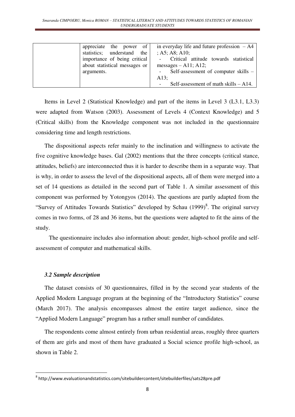| appreciate the power of       | in everyday life and future profession $-A4$ |
|-------------------------------|----------------------------------------------|
| statistics; understand the    | ; A5; A8; A10;                               |
| importance of being critical  | - Critical attitude towards statistical      |
| about statistical messages or | messages $-$ A11; A12;                       |
| arguments.                    | Self-assessment of computer skills –         |
|                               | A13:                                         |
|                               | Self-assessment of math skills $-$ A14.      |

Items in Level 2 (Statistical Knowledge) and part of the items in Level 3 (L3.1, L3.3) were adapted from Watson (2003). Assessment of Levels 4 (Context Knowledge) and 5 (Critical skills) from the Knowledge component was not included in the questionnaire considering time and length restrictions.

The dispositional aspects refer mainly to the inclination and willingness to activate the five cognitive knowledge bases. Gal (2002) mentions that the three concepts (critical stance, attitudes, beliefs) are interconnected thus it is harder to describe them in a separate way. That is why, in order to assess the level of the dispositional aspects, all of them were merged into a set of 14 questions as detailed in the second part of Table 1. A similar assessment of this component was performed by Yotongyos (2014). The questions are partly adapted from the "Survey of Attitudes Towards Statistics" developed by Schau (1999)<sup>8</sup>. The original survey comes in two forms, of 28 and 36 items, but the questions were adapted to fit the aims of the study.

 The questionnaire includes also information about: gender, high-school profile and selfassessment of computer and mathematical skills.

#### *3.2 Sample description*

-

The dataset consists of 30 questionnaires, filled in by the second year students of the Applied Modern Language program at the beginning of the "Introductory Statistics" course (March 2017). The analysis encompasses almost the entire target audience, since the "Applied Modern Language" program has a rather small number of candidates.

The respondents come almost entirely from urban residential areas, roughly three quarters of them are girls and most of them have graduated a Social science profile high-school, as shown in Table 2.

<sup>8</sup> http://www.evaluationandstatistics.com/sitebuildercontent/sitebuilderfiles/sats28pre.pdf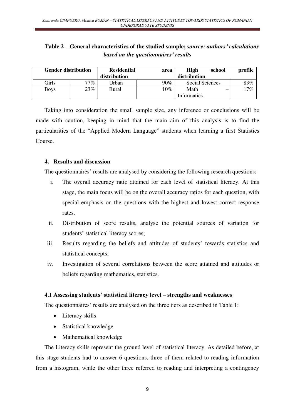## **Table 2 – General characteristics of the studied sample;** *source: authors' calculations based on the questionnaires' results*

| <b>Gender distribution</b> |        | <b>Residential</b> | area | <b>High</b>     | school | profile |
|----------------------------|--------|--------------------|------|-----------------|--------|---------|
|                            |        | distribution       |      | distribution    |        |         |
| Girls                      | $77\%$ | Urban              | 90%  | Social Sciences |        | 83%     |
| <b>Boys</b>                | 23%    | Rural              | 10%  | Math            | –      | 17%     |
|                            |        |                    |      | Informatics     |        |         |

Taking into consideration the small sample size, any inference or conclusions will be made with caution, keeping in mind that the main aim of this analysis is to find the particularities of the "Applied Modern Language" students when learning a first Statistics Course.

## **4. Results and discussion**

The questionnaires' results are analysed by considering the following research questions:

- i. The overall accuracy ratio attained for each level of statistical literacy. At this stage, the main focus will be on the overall accuracy ratios for each question, with special emphasis on the questions with the highest and lowest correct response rates.
- ii. Distribution of score results, analyse the potential sources of variation for students' statistical literacy scores;
- iii. Results regarding the beliefs and attitudes of students' towards statistics and statistical concepts;
- iv. Investigation of several correlations between the score attained and attitudes or beliefs regarding mathematics, statistics.

## **4.1 Assessing students' statistical literacy level – strengths and weaknesses**

The questionnaires' results are analysed on the three tiers as described in Table 1:

- Literacy skills
- Statistical knowledge
- Mathematical knowledge

The Literacy skills represent the ground level of statistical literacy. As detailed before, at this stage students had to answer 6 questions, three of them related to reading information from a histogram, while the other three referred to reading and interpreting a contingency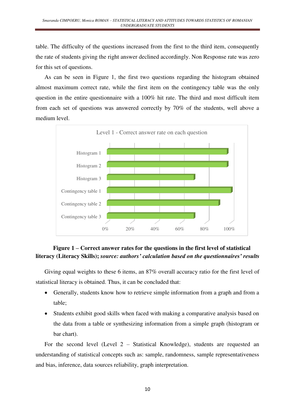table. The difficulty of the questions increased from the first to the third item, consequently the rate of students giving the right answer declined accordingly. Non Response rate was zero for this set of questions.

As can be seen in Figure 1, the first two questions regarding the histogram obtained almost maximum correct rate, while the first item on the contingency table was the only question in the entire questionnaire with a 100% hit rate. The third and most difficult item from each set of questions was answered correctly by 70% of the students, well above a medium level.



## **Figure 1 – Correct answer rates for the questions in the first level of statistical literacy (Literacy Skills);** *source: authors' calculation based on the questionnaires' results*

Giving equal weights to these 6 items, an 87% overall accuracy ratio for the first level of statistical literacy is obtained. Thus, it can be concluded that:

- Generally, students know how to retrieve simple information from a graph and from a table;
- Students exhibit good skills when faced with making a comparative analysis based on the data from a table or synthesizing information from a simple graph (histogram or bar chart).

For the second level (Level 2 – Statistical Knowledge), students are requested an understanding of statistical concepts such as: sample, randomness, sample representativeness and bias, inference, data sources reliability, graph interpretation.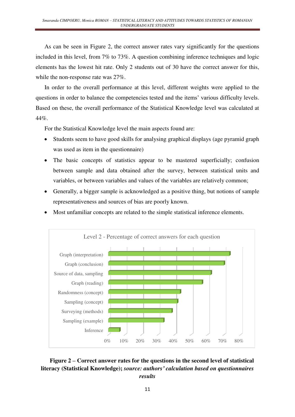As can be seen in Figure 2, the correct answer rates vary significantly for the questions included in this level, from 7% to 73%. A question combining inference techniques and logic elements has the lowest hit rate. Only 2 students out of 30 have the correct answer for this, while the non-response rate was 27%.

In order to the overall performance at this level, different weights were applied to the questions in order to balance the competencies tested and the items' various difficulty levels. Based on these, the overall performance of the Statistical Knowledge level was calculated at 44%.

For the Statistical Knowledge level the main aspects found are:

- Students seem to have good skills for analysing graphical displays (age pyramid graph) was used as item in the questionnaire)
- The basic concepts of statistics appear to be mastered superficially; confusion between sample and data obtained after the survey, between statistical units and variables, or between variables and values of the variables are relatively common;
- Generally, a bigger sample is acknowledged as a positive thing, but notions of sample representativeness and sources of bias are poorly known.
- Most unfamiliar concepts are related to the simple statistical inference elements.



## **Figure 2 – Correct answer rates for the questions in the second level of statistical literacy (Statistical Knowledge);** *source: authors' calculation based on questionnaires results*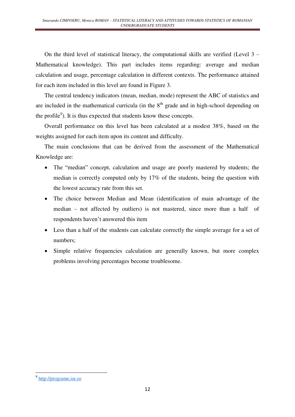On the third level of statistical literacy, the computational skills are verified (Level 3 – Mathematical knowledge). This part includes items regarding: average and median calculation and usage, percentage calculation in different contexts. The performance attained for each item included in this level are found in Figure 3.

The central tendency indicators (mean, median, mode) represent the ABC of statistics and are included in the mathematical curricula (in the  $8<sup>th</sup>$  grade and in high-school depending on the profile<sup>9</sup>). It is thus expected that students know these concepts.

Overall performance on this level has been calculated at a modest 38%, based on the weights assigned for each item upon its content and difficulty.

The main conclusions that can be derived from the assessment of the Mathematical Knowledge are:

- The "median" concept, calculation and usage are poorly mastered by students; the median is correctly computed only by 17% of the students, being the question with the lowest accuracy rate from this set.
- The choice between Median and Mean (identification of main advantage of the median – not affected by outliers) is not mastered, since more than a half of respondents haven't answered this item
- Less than a half of the students can calculate correctly the simple average for a set of numbers;
- Simple relative frequencies calculation are generally known, but more complex problems involving percentages become troublesome.

-

<sup>&</sup>lt;sup>9</sup> [http://programe.ise.ro](http://programe.ise.ro/)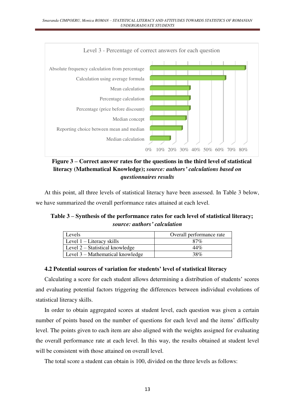

**Figure 3 – Correct answer rates for the questions in the third level of statistical literacy (Mathematical Knowledge);** *source: authors' calculations based on questionnaires results*

At this point, all three levels of statistical literacy have been assessed. In Table 3 below, we have summarized the overall performance rates attained at each level.

**Table 3 – Synthesis of the performance rates for each level of statistical literacy;** *source: authors' calculation*

| Levels                           | Overall performance rate |
|----------------------------------|--------------------------|
| Level $1$ – Literacy skills      | 87%                      |
| Level 2 – Statistical knowledge  | 44%                      |
| Level 3 – Mathematical knowledge | 38%                      |

#### **4.2 Potential sources of variation for students' level of statistical literacy**

Calculating a score for each student allows determining a distribution of students' scores and evaluating potential factors triggering the differences between individual evolutions of statistical literacy skills.

In order to obtain aggregated scores at student level, each question was given a certain number of points based on the number of questions for each level and the items' difficulty level. The points given to each item are also aligned with the weights assigned for evaluating the overall performance rate at each level. In this way, the results obtained at student level will be consistent with those attained on overall level.

The total score a student can obtain is 100, divided on the three levels as follows: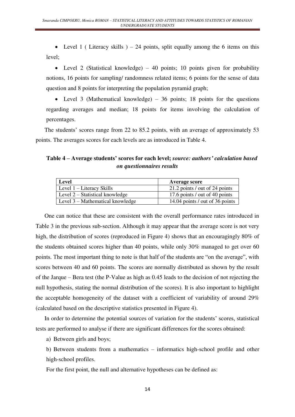• Level 1 (Literacy skills ) – 24 points, split equally among the 6 items on this level;

• Level 2 (Statistical knowledge) – 40 points; 10 points given for probability notions, 16 points for sampling/ randomness related items; 6 points for the sense of data question and 8 points for interpreting the population pyramid graph;

• Level 3 (Mathematical knowledge) – 36 points; 18 points for the questions regarding averages and median; 18 points for items involving the calculation of percentages.

The students' scores range from 22 to 85.2 points, with an average of approximately 53 points. The averages scores for each levels are as introduced in Table 4.

## **Table 4 – Average students' scores for each level;** *source: authors' calculation based on questionnaires results*

| <b>Level</b>                     | <b>Average score</b>            |
|----------------------------------|---------------------------------|
| Level 1 – Literacy Skills        | 21.2 points / out of 24 points  |
| Level 2 – Statistical knowledge  | 17.6 points / out of 40 points  |
| Level 3 – Mathematical knowledge | 14.04 points / out of 36 points |

One can notice that these are consistent with the overall performance rates introduced in Table 3 in the previous sub-section. Although it may appear that the average score is not very high, the distribution of scores (reproduced in Figure 4) shows that an encouragingly 80% of the students obtained scores higher than 40 points, while only 30% managed to get over 60 points. The most important thing to note is that half of the students are "on the average", with scores between 40 and 60 points. The scores are normally distributed as shown by the result of the Jarque – Bera test (the P-Value as high as 0.45 leads to the decision of not rejecting the null hypothesis, stating the normal distribution of the scores). It is also important to highlight the acceptable homogeneity of the dataset with a coefficient of variability of around 29% (calculated based on the descriptive statistics presented in Figure 4).

In order to determine the potential sources of variation for the students' scores, statistical tests are performed to analyse if there are significant differences for the scores obtained:

a) Between girls and boys;

b) Between students from a mathematics – informatics high-school profile and other high-school profiles.

For the first point, the null and alternative hypotheses can be defined as: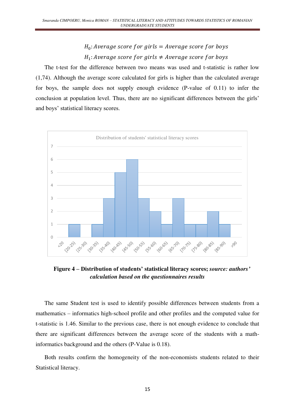# $H_0$ : Average score for girls = Average score for boys  $H_1$ : Average score for girls  $\neq$  Average score for boys

The t-test for the difference between two means was used and t-statistic is rather low (1,74). Although the average score calculated for girls is higher than the calculated average for boys, the sample does not supply enough evidence (P-value of 0.11) to infer the conclusion at population level. Thus, there are no significant differences between the girls' and boys' statistical literacy scores.



**Figure 4 – Distribution of students' statistical literacy scores;** *source: authors' calculation based on the questionnaires results*

The same Student test is used to identify possible differences between students from a mathematics – informatics high-school profile and other profiles and the computed value for t-statistic is 1.46. Similar to the previous case, there is not enough evidence to conclude that there are significant differences between the average score of the students with a mathinformatics background and the others (P-Value is 0.18).

Both results confirm the homogeneity of the non-economists students related to their Statistical literacy.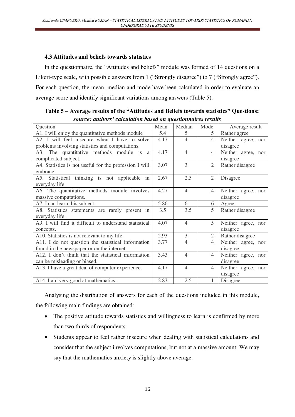## **4.3 Attitudes and beliefs towards statistics**

In the questionnaire, the "Attitudes and beliefs" module was formed of 14 questions on a Likert-type scale, with possible answers from 1 ("Strongly disagree") to 7 ("Strongly agree"). For each question, the mean, median and mode have been calculated in order to evaluate an average score and identify significant variations among answers (Table 5).

| source, auniors - calculation based on questionnan es results        |      |                |                |                    |  |
|----------------------------------------------------------------------|------|----------------|----------------|--------------------|--|
| Question                                                             | Mean | Median         | Mode           | Average result     |  |
| A1. I will enjoy the quantitative methods module                     | 5.4  | 5              | 5 <sup>1</sup> | Rather agree       |  |
| A2. I will feel insecure when I have to solve                        | 4.17 | $\overline{4}$ | $\overline{4}$ | Neither agree, nor |  |
| problems involving statistics and computations.                      |      |                |                | disagree           |  |
| A3. The quantitative methods module is a                             | 4.17 | $\overline{4}$ | $\overline{4}$ | Neither agree, nor |  |
| complicated subject.                                                 |      |                |                | disagree           |  |
| A4. Statistics is not useful for the profession I will               | 3.07 | 3              | $\overline{2}$ | Rather disagree    |  |
| embrace.                                                             |      |                |                |                    |  |
| A5. Statistical thinking is not applicable in                        | 2.67 | 2.5            | $\overline{2}$ | Disagree           |  |
| everyday life.                                                       |      |                |                |                    |  |
| A6. The quantitative methods module involves                         | 4.27 | $\overline{4}$ | $\overline{4}$ | Neither agree, nor |  |
| massive computations.                                                |      |                |                | disagree           |  |
| A7. I can learn this subject.                                        | 5.86 | 6              | 6              | Agree              |  |
| A8. Statistics statements are rarely present in                      | 3.5  | 3.5            | 5              | Rather disagree    |  |
| everyday life.                                                       |      |                |                |                    |  |
| $\overline{A9}$ . I will find it difficult to understand statistical | 4.07 | $\overline{4}$ | 5              | Neither agree, nor |  |
| concepts.                                                            |      |                |                | disagree           |  |
| A10. Statistics is not relevant to my life.                          | 2.93 | 3              | $\overline{2}$ | Rather disagree    |  |
| A11. I do not question the statistical information                   | 3.77 | $\overline{4}$ | $\overline{4}$ | Neither agree, nor |  |
| found in the newspaper or on the internet.                           |      |                |                | disagree           |  |
| A12. I don't think that the statistical information                  | 3.43 | $\overline{4}$ | $\overline{4}$ | Neither agree, nor |  |
| can be misleading or biased.                                         |      |                |                | disagree           |  |
| A13. I have a great deal of computer experience.                     | 4.17 | $\overline{4}$ | $\overline{4}$ | Neither agree, nor |  |
|                                                                      |      |                |                | disagree           |  |
| A14. I am very good at mathematics.                                  | 2.83 | 2.5            |                | Disagree           |  |

**Table 5 – Average results of the "Attitudes and Beliefs towards statistics" Questions;**  *source: authors' calculation based on questionnaires results* 

Analysing the distribution of answers for each of the questions included in this module, the following main findings are obtained:

- The positive attitude towards statistics and willingness to learn is confirmed by more than two thirds of respondents.
- Students appear to feel rather insecure when dealing with statistical calculations and consider that the subject involves computations, but not at a massive amount. We may say that the mathematics anxiety is slightly above average.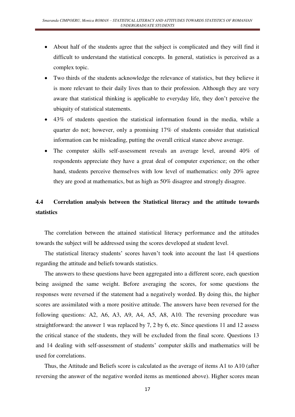- About half of the students agree that the subject is complicated and they will find it difficult to understand the statistical concepts. In general, statistics is perceived as a complex topic.
- Two thirds of the students acknowledge the relevance of statistics, but they believe it is more relevant to their daily lives than to their profession. Although they are very aware that statistical thinking is applicable to everyday life, they don't perceive the ubiquity of statistical statements.
- 43% of students question the statistical information found in the media, while a quarter do not; however, only a promising 17% of students consider that statistical information can be misleading, putting the overall critical stance above average.
- The computer skills self-assessment reveals an average level, around 40% of respondents appreciate they have a great deal of computer experience; on the other hand, students perceive themselves with low level of mathematics: only 20% agree they are good at mathematics, but as high as 50% disagree and strongly disagree.

# **4.4 Correlation analysis between the Statistical literacy and the attitude towards statistics**

The correlation between the attained statistical literacy performance and the attitudes towards the subject will be addressed using the scores developed at student level.

The statistical literacy students' scores haven't took into account the last 14 questions regarding the attitude and beliefs towards statistics.

The answers to these questions have been aggregated into a different score, each question being assigned the same weight. Before averaging the scores, for some questions the responses were reversed if the statement had a negatively worded. By doing this, the higher scores are assimilated with a more positive attitude. The answers have been reversed for the following questions: A2, A6, A3, A9, A4, A5, A8, A10. The reversing procedure was straightforward: the answer 1 was replaced by 7, 2 by 6, etc. Since questions 11 and 12 assess the critical stance of the students, they will be excluded from the final score. Questions 13 and 14 dealing with self-assessment of students' computer skills and mathematics will be used for correlations.

Thus, the Attitude and Beliefs score is calculated as the average of items A1 to A10 (after reversing the answer of the negative worded items as mentioned above). Higher scores mean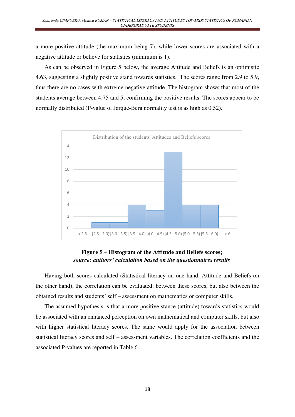a more positive attitude (the maximum being 7), while lower scores are associated with a negative attitude or believe for statistics (minimum is 1).

As can be observed in Figure 5 below, the average Attitude and Beliefs is an optimistic 4.63, suggesting a slightly positive stand towards statistics. The scores range from 2.9 to 5.9, thus there are no cases with extreme negative attitude. The histogram shows that most of the students average between 4.75 and 5, confirming the positive results. The scores appear to be normally distributed (P-value of Jarque-Bera normality test is as high as 0.52).



## **Figure 5 – Histogram of the Attitude and Beliefs scores;**  *source: authors' calculation based on the questionnaires results*

Having both scores calculated (Statistical literacy on one hand, Attitude and Beliefs on the other hand), the correlation can be evaluated: between these scores, but also between the obtained results and students' self – assessment on mathematics or computer skills.

The assumed hypothesis is that a more positive stance (attitude) towards statistics would be associated with an enhanced perception on own mathematical and computer skills, but also with higher statistical literacy scores. The same would apply for the association between statistical literacy scores and self – assessment variables. The correlation coefficients and the associated P-values are reported in Table 6.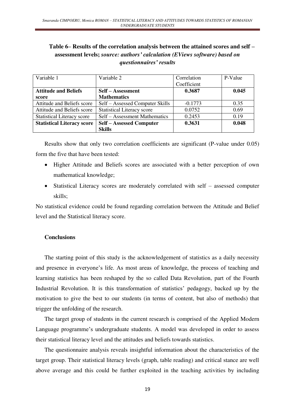## **Table 6– Results of the correlation analysis between the attained scores and self – assessment levels;** *source: authors' calculation (EViews software) based on questionnaires' results*

| Variable 1                        | Variable 2                        | Correlation | P-Value |
|-----------------------------------|-----------------------------------|-------------|---------|
|                                   |                                   | Coefficient |         |
| <b>Attitude and Beliefs</b>       | Self – Assessment                 | 0.3687      | 0.045   |
| score                             | <b>Mathematics</b>                |             |         |
| Attitude and Beliefs score        | Self – Assessed Computer Skills   | $-0.1773$   | 0.35    |
| Attitude and Beliefs score        | <b>Statistical Literacy score</b> | 0.0752      | 0.69    |
| <b>Statistical Literacy score</b> | Self - Assessment Mathematics     | 0.2453      | 0.19    |
| <b>Statistical Literacy score</b> | <b>Self – Assessed Computer</b>   | 0.3631      | 0.048   |
|                                   | <b>Skills</b>                     |             |         |

Results show that only two correlation coefficients are significant (P-value under 0.05) form the five that have been tested:

- Higher Attitude and Beliefs scores are associated with a better perception of own mathematical knowledge;
- Statistical Literacy scores are moderately correlated with self assessed computer skills;

No statistical evidence could be found regarding correlation between the Attitude and Belief level and the Statistical literacy score.

## **Conclusions**

The starting point of this study is the acknowledgement of statistics as a daily necessity and presence in everyone's life. As most areas of knowledge, the process of teaching and learning statistics has been reshaped by the so called Data Revolution, part of the Fourth Industrial Revolution. It is this transformation of statistics' pedagogy, backed up by the motivation to give the best to our students (in terms of content, but also of methods) that trigger the unfolding of the research.

The target group of students in the current research is comprised of the Applied Modern Language programme's undergraduate students. A model was developed in order to assess their statistical literacy level and the attitudes and beliefs towards statistics.

The questionnaire analysis reveals insightful information about the characteristics of the target group. Their statistical literacy levels (graph, table reading) and critical stance are well above average and this could be further exploited in the teaching activities by including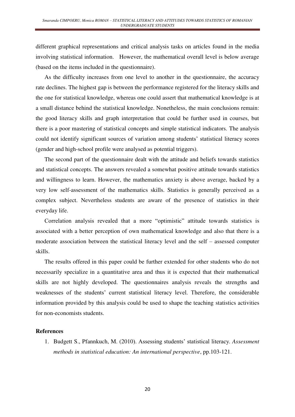different graphical representations and critical analysis tasks on articles found in the media involving statistical information. However, the mathematical overall level is below average (based on the items included in the questionnaire).

As the difficulty increases from one level to another in the questionnaire, the accuracy rate declines. The highest gap is between the performance registered for the literacy skills and the one for statistical knowledge, whereas one could assert that mathematical knowledge is at a small distance behind the statistical knowledge. Nonetheless, the main conclusions remain: the good literacy skills and graph interpretation that could be further used in courses, but there is a poor mastering of statistical concepts and simple statistical indicators. The analysis could not identify significant sources of variation among students' statistical literacy scores (gender and high-school profile were analysed as potential triggers).

The second part of the questionnaire dealt with the attitude and beliefs towards statistics and statistical concepts. The answers revealed a somewhat positive attitude towards statistics and willingness to learn. However, the mathematics anxiety is above average, backed by a very low self-assessment of the mathematics skills. Statistics is generally perceived as a complex subject. Nevertheless students are aware of the presence of statistics in their everyday life.

Correlation analysis revealed that a more "optimistic" attitude towards statistics is associated with a better perception of own mathematical knowledge and also that there is a moderate association between the statistical literacy level and the self – assessed computer skills.

The results offered in this paper could be further extended for other students who do not necessarily specialize in a quantitative area and thus it is expected that their mathematical skills are not highly developed. The questionnaires analysis reveals the strengths and weaknesses of the students' current statistical literacy level. Therefore, the considerable information provided by this analysis could be used to shape the teaching statistics activities for non-economists students.

#### **References**

1. Budgett S., Pfannkuch, M. (2010). Assessing students' statistical literacy*. Assessment methods in statistical education: An international perspective*, pp.103-121.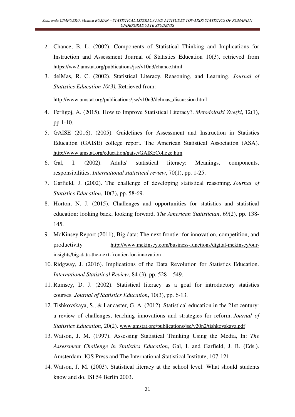- 2. Chance, B. L. (2002). Components of Statistical Thinking and Implications for Instruction and Assessment Journal of Statistics Education 10(3), retrieved from <https://ww2.amstat.org/publications/jse/v10n3/chance.html>
- 3. delMas, R. C. (2002). Statistical Literacy, Reasoning, and Learning. *Journal of Statistics Education 10(3).* Retrieved from:

[http://www.amstat.org/publications/jse/v10n3/delmas\\_discussion.html](http://www.amstat.org/publications/jse/v10n3/delmas_discussion.html)

- 4. Ferligoj, A. (2015). How to Improve Statistical Literacy?. *Metodoloski Zvezki*, 12(1), pp.1-10.
- 5. GAISE (2016), (2005). Guidelines for Assessment and Instruction in Statistics Education (GAISE) college report. The American Statistical Association (ASA). <http://www.amstat.org/education/gaise/GAISECollege.htm>
- 6. Gal, I. (2002). Adults' statistical literacy: Meanings, components, responsibilities. *International statistical review*, 70(1), pp. 1-25.
- 7. Garfield, J. (2002). The challenge of developing statistical reasoning. *Journal of Statistics Education*, 10(3), pp. 58-69.
- 8. Horton, N. J. (2015). Challenges and opportunities for statistics and statistical education: looking back, looking forward. *The American Statistician*, 69(2), pp. 138- 145.
- 9. McKinsey Report (2011), Big data: The next frontier for innovation, competition, and productivity [http://www.mckinsey.com/business-functions/digital-mckinsey/our](http://www.mckinsey.com/business-functions/digital-mckinsey/our-insights/big-data-the-next-frontier-for-innovation)[insights/big-data-the-next-frontier-for-innovation](http://www.mckinsey.com/business-functions/digital-mckinsey/our-insights/big-data-the-next-frontier-for-innovation)
- 10. Ridgway, J. (2016). Implications of the Data Revolution for Statistics Education. *International Statistical Review*, 84 (3), pp. 528 – 549.
- 11. Rumsey, D. J. (2002). Statistical literacy as a goal for introductory statistics courses. *Journal of Statistics Education*, 10(3), pp. 6-13.
- 12. Tishkovskaya, S., & Lancaster, G. A. (2012). Statistical education in the 21st century: a review of challenges, teaching innovations and strategies for reform. *Journal of Statistics Education*, 20(2). [www.amstat.org/publications/jse/v20n2/tishkovskaya.pdf](http://www.amstat.org/publications/jse/v20n2/tishkovskaya.pdf)
- 13. Watson, J. M. (1997). Assessing Statistical Thinking Using the Media, In: *The Assessment Challenge in Statistics Education*, Gal, I. and Garfield, J. B. (Eds.). Amsterdam: IOS Press and The International Statistical Institute, 107-121.
- 14. Watson, J. M. (2003). Statistical literacy at the school level: What should students know and do. ISI 54 Berlin 2003.